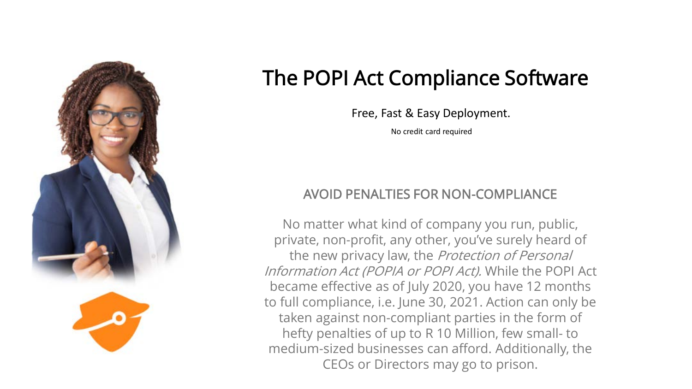

# The POPI Act Compliance Software

Free, Fast & Easy Deployment.

No credit card required

### AVOID PENALTIES FOR NON-COMPLIANCE

No matter what kind of company you run, public, private, non-profit, any other, you've surely heard of the new privacy law, the Protection of Personal Information Act (POPIA or POPI Act). While the POPI Act became effective as of July 2020, you have 12 months to full compliance, i.e. June 30, 2021. Action can only be taken against non-compliant parties in the form of hefty penalties of up to R 10 Million, few small- to medium-sized businesses can afford. Additionally, the CEOs or Directors may go to prison.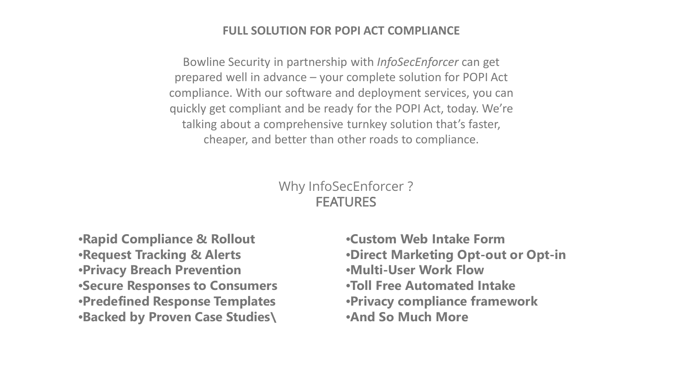#### **FULL SOLUTION FOR POPI ACT COMPLIANCE**

Bowline Security in partnership with *InfoSecEnforcer* can get prepared well in advance – your complete solution for POPI Act compliance. With our software and deployment services, you can quickly get compliant and be ready for the POPI Act, today. We're talking about a comprehensive turnkey solution that's faster, cheaper, and better than other roads to compliance.

#### Why InfoSecEnforcer ? FEATURES

•**Rapid Compliance & Rollout** •**Request Tracking & Alerts** •**Privacy Breach Prevention** •**Secure Responses to Consumers** •**Predefined Response Templates** •**Backed by Proven Case Studies\**

•**Custom Web Intake Form** •**Direct Marketing Opt-out or Opt-in** •**Multi-User Work Flow** •**Toll Free Automated Intake** •**Privacy compliance framework** •**And So Much More**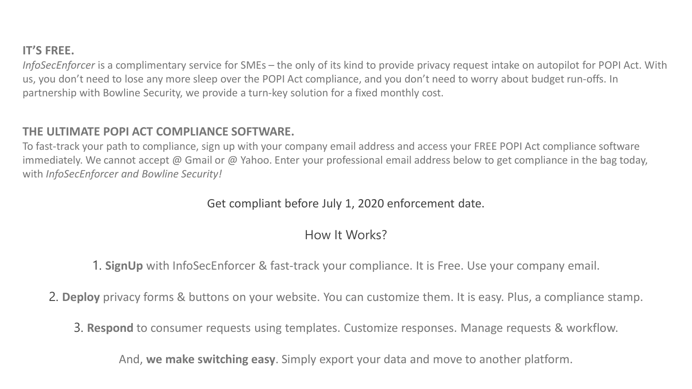#### **IT'S FREE.**

*InfoSecEnforcer* is a complimentary service for SMEs – the only of its kind to provide privacy request intake on autopilot for POPI Act. With us, you don't need to lose any more sleep over the POPI Act compliance, and you don't need to worry about budget run-offs. In partnership with Bowline Security, we provide a turn-key solution for a fixed monthly cost.

#### **THE ULTIMATE POPI ACT COMPLIANCE SOFTWARE.**

To fast-track your path to compliance, sign up with your company email address and access your FREE POPI Act compliance software immediately. We cannot accept @ Gmail or @ Yahoo. Enter your professional email address below to get compliance in the bag today, with *InfoSecEnforcer and Bowline Security!*

#### Get compliant before July 1, 2020 enforcement date.

#### How It Works?

1. **SignUp** with InfoSecEnforcer & fast-track your compliance. It is Free. Use your company email.

2. **Deploy** privacy forms & buttons on your website. You can customize them. It is easy. Plus, a compliance stamp.

3. **Respond** to consumer requests using templates. Customize responses. Manage requests & workflow.

And, **we make switching easy**. Simply export your data and move to another platform.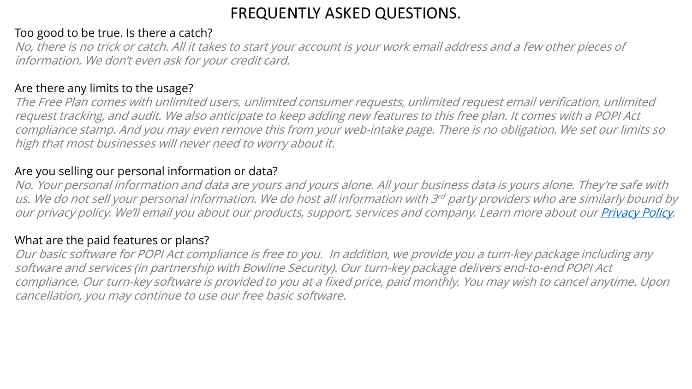# FREQUENTLY ASKED QUESTIONS.

#### Too good to be true. Is there a catch?

No, there is no trick or catch. All it takes to start your account is your work email address and a few other pieces of information. We don't even ask for your credit card.

#### Are there any limits to the usage?

The Free Plan comes with unlimited users, unlimited consumer requests, unlimited request email verification, unlimited request tracking, and audit. We also anticipate to keep adding new features to this free plan. It comes with a POPI Act compliance stamp. And you may even remove this from your web-intake page. There is no obligation. We set our limits so high that most businesses will never need to worry about it.

#### Are you selling our personal information or data?

No. Your personal information and data are yours and yours alone. All your business data is yours alone. They're safe with us. We do not sell your personal information. We do host all information with 3rd party providers who are similarly bound by our privacy policy. We'll email you about our products, support, services and company. Learn more about our *Privacy Policy*.

#### What are the paid features or plans?

Our basic software for POPI Act compliance is free to you. In addition, we provide you a turn-key package including any software and services (in partnership with Bowline Security). Our turn-key package delivers end-to-end POPI Act compliance. Our turn-key software is provided to you at a fixed price, paid monthly. You may wish to cancel anytime. Upon cancellation, you may continue to use our free basic software.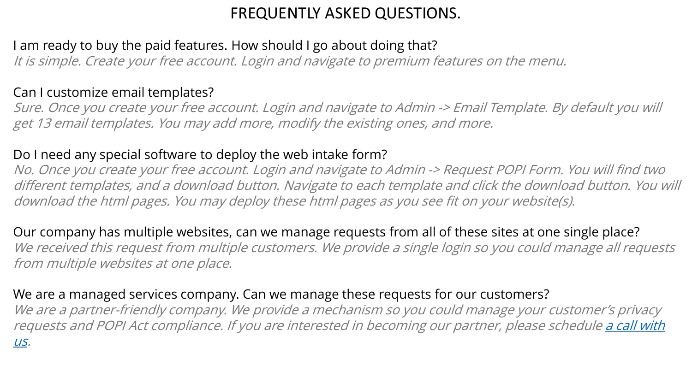# FREQUENTLY ASKED QUESTIONS.

# I am ready to buy the paid features. How should I go about doing that?

It is simple. Create your free account. Login and navigate to premium features on the menu.

## Can I customize email templates?

Sure. Once you create your free account. Login and navigate to Admin -> Email Template. By default you will get 13 email templates. You may add more, modify the existing ones, and more.

# Do I need any special software to deploy the web intake form?

No. Once you create your free account. Login and navigate to Admin -> Request POPI Form. You will find two different templates, and a download button. Navigate to each template and click the download button. You will download the html pages. You may deploy these html pages as you see fit on your website(s).

Our company has multiple websites, can we manage requests from all of these sites at one single place? We received this request from multiple customers. We provide a single login so you could manage all requests from multiple websites at one place.

### We are a managed services company. Can we manage these requests for our customers?

We are a partner-friendly company. We provide a mechanism so you could manage your customer's privacy [requests and POPI Act compliance. If you are interested in becoming our partner, please schedule](https://calendly.com/information-security-enforcer) a call with us.